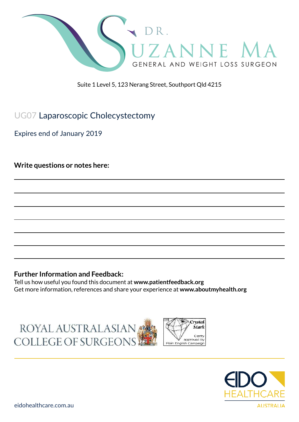

Suite 1 Level 5, 123 Nerang Street, Southport Qld 4215

UG07 Laparoscopic Cholecystectomy

Expires end of January 2019

**Write questions or notes here:**

#### **Further Information and Feedback:**

Tell us how useful you found this document at **www.patientfeedback.org** Get more information, references and share your experience at **www.aboutmyhealth.org**

ROYAL AUSTRALASIAN COLLEGE OF SURGEONS



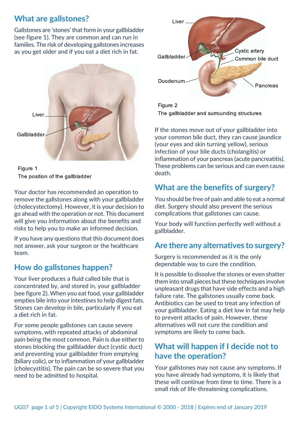## **What are gallstones?**

Gallstones are 'stones' that form in your gallbladder (see figure 1). They are common and can run in families. The risk of developing gallstones increases as you get older and if you eat a diet rich in fat.





Your doctor has recommended an operation to remove the gallstones along with your gallbladder (cholecystectomy). However, it is your decision to go ahead with the operation or not. This document will give you information about the benefits and risks to help you to make an informed decision.

If you have any questions that this document does not answer, ask your surgeon or the healthcare team.

# **How do gallstones happen?**

Your liver produces a fluid called bile that is concentrated by, and stored in, your gallbladder (see figure 2). When you eat food, your gallbladder empties bile into your intestines to help digest fats. Stones can develop in bile, particularly if you eat a diet rich in fat.

For some people gallstones can cause severe symptoms, with repeated attacks of abdominal pain being the most common. Pain is due either to stones blocking the gallbladder duct (cystic duct) and preventing your gallbladder from emptying (biliary colic), or to inflammation of your gallbladder (cholecystitis). The pain can be so severe that you need to be admitted to hospital.



Figure 2 The gallbladder and surrounding structures

If the stones move out of your gallbladder into your common bile duct, they can cause jaundice (your eyes and skin turning yellow), serious infection of your bile ducts (cholangitis) or inflammation of your pancreas (acute pancreatitis). These problems can be serious and can even cause death.

# **What are the benefits of surgery?**

You should be free of pain and able to eat a normal diet. Surgery should also prevent the serious complications that gallstones can cause.

Your body will function perfectly well without a gallbladder.

## **Are there any alternatives to surgery?**

Surgery is recommended as it is the only dependable way to cure the condition.

It is possible to dissolve the stones or even shatter them into small pieces but these techniques involve unpleasant drugs that have side effects and a high failure rate. The gallstones usually come back. Antibiotics can be used to treat any infection of your gallbladder. Eating a diet low in fat may help to prevent attacks of pain. However, these alternatives will not cure the condition and symptoms are likely to come back.

## **What will happen if I decide not to have the operation?**

Your gallstones may not cause any symptoms. If you have already had symptoms, it is likely that these will continue from time to time. There is a small risk of life-threatening complications.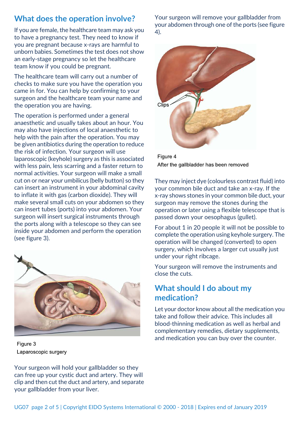## **What does the operation involve?**

If you are female, the healthcare team may ask you to have a pregnancy test. They need to know if you are pregnant because x-rays are harmful to unborn babies. Sometimes the test does not show an early-stage pregnancy so let the healthcare team know if you could be pregnant.

The healthcare team will carry out a number of checks to make sure you have the operation you came in for. You can help by confirming to your surgeon and the healthcare team your name and the operation you are having.

The operation is performed under a general anaesthetic and usually takes about an hour. You may also have injections of local anaesthetic to help with the pain after the operation. You may be given antibiotics during the operation to reduce the risk of infection. Your surgeon will use laparoscopic (keyhole) surgery as this is associated with less pain, less scarring and a faster return to normal activities. Your surgeon will make a small cut on or near your umbilicus (belly button) so they can insert an instrument in your abdominal cavity to inflate it with gas (carbon dioxide). They will make several small cuts on your abdomen so they can insert tubes (ports) into your abdomen. Your surgeon will insert surgical instruments through the ports along with a telescope so they can see inside your abdomen and perform the operation (see figure 3).



Figure 3 Laparoscopic surgery

Your surgeon will remove your gallbladder from your abdomen through one of the ports (see figure 4).



Figure 4 After the gallbladder has been removed

They may inject dye (colourless contrast fluid) into your common bile duct and take an x-ray. If the x-ray shows stones in your common bile duct, your surgeon may remove the stones during the operation or later using a flexible telescope that is passed down your oesophagus (gullet).

For about 1 in 20 people it will not be possible to complete the operation using keyhole surgery. The operation will be changed (converted) to open surgery, which involves a larger cut usually just under your right ribcage.

Your surgeon will remove the instruments and close the cuts.

## **What should I do about my medication?**

Let your doctor know about all the medication you take and follow their advice. This includes all blood-thinning medication as well as herbal and complementary remedies, dietary supplements, and medication you can buy over the counter.

Your surgeon will hold your gallbladder so they can free up your cystic duct and artery. They will clip and then cut the duct and artery, and separate your gallbladder from your liver.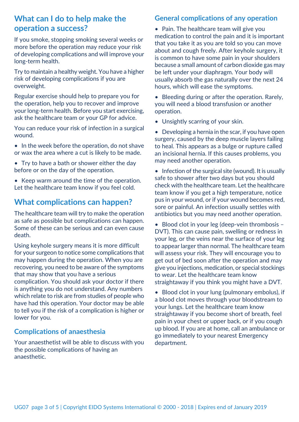## **What can I do to help make the operation a success?**

If you smoke, stopping smoking several weeks or more before the operation may reduce your risk of developing complications and will improve your long-term health.

Try to maintain a healthy weight. You have a higher risk of developing complications if you are overweight.

Regular exercise should help to prepare you for the operation, help you to recover and improve your long-term health. Before you start exercising, ask the healthcare team or your GP for advice.

You can reduce your risk of infection in a surgical wound.

- In the week before the operation, do not shave or wax the area where a cut is likely to be made.
- Try to have a bath or shower either the day before or on the day of the operation.
- Keep warm around the time of the operation. Let the healthcare team know if you feel cold.

## **What complications can happen?**

The healthcare team will try to make the operation as safe as possible but complications can happen. Some of these can be serious and can even cause death.

Using keyhole surgery means it is more difficult for your surgeon to notice some complications that may happen during the operation. When you are recovering, you need to be aware of the symptoms that may show that you have a serious complication. You should ask your doctor if there is anything you do not understand. Any numbers which relate to risk are from studies of people who have had this operation. Your doctor may be able to tell you if the risk of a complication is higher or lower for you.

### **Complications of anaesthesia**

Your anaesthetist will be able to discuss with you the possible complications of having an anaesthetic.

### **General complications of any operation**

• Pain. The healthcare team will give you medication to control the pain and it is important that you take it as you are told so you can move about and cough freely. After keyhole surgery, it is common to have some pain in your shoulders because a small amount of carbon dioxide gas may be left under your diaphragm. Your body will usually absorb the gas naturally over the next 24 hours, which will ease the symptoms.

• Bleeding during or after the operation. Rarely, you will need a blood transfusion or another operation.

- Unsightly scarring of your skin.
- Developing a hernia in the scar, if you have open surgery, caused by the deep muscle layers failing to heal. This appears as a bulge or rupture called an incisional hernia. If this causes problems, you may need another operation.

• Infection of the surgical site (wound). It is usually safe to shower after two days but you should check with the healthcare team. Let the healthcare team know if you get a high temperature, notice pus in your wound, or if your wound becomes red, sore or painful. An infection usually settles with antibiotics but you may need another operation.

• Blood clot in your leg (deep-vein thrombosis – DVT). This can cause pain, swelling or redness in your leg, or the veins near the surface of your leg to appear larger than normal. The healthcare team will assess your risk. They will encourage you to get out of bed soon after the operation and may give you injections, medication, or special stockings to wear. Let the healthcare team know straightaway if you think you might have a DVT.

• Blood clot in your lung (pulmonary embolus), if a blood clot moves through your bloodstream to your lungs. Let the healthcare team know straightaway if you become short of breath, feel pain in your chest or upper back, or if you cough up blood. If you are at home, call an ambulance or go immediately to your nearest Emergency department.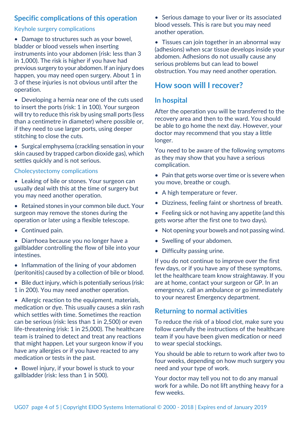### **Specific complications of this operation**

#### Keyhole surgery complications

• Damage to structures such as your bowel, bladder or blood vessels when inserting instruments into your abdomen (risk: less than 3 in 1,000). The risk is higher if you have had previous surgery to your abdomen. If an injury does happen, you may need open surgery. About 1 in 3 of these injuries is not obvious until after the operation.

• Developing a hernia near one of the cuts used to insert the ports (risk: 1 in 100). Your surgeon will try to reduce this risk by using small ports (less than a centimetre in diameter) where possible or, if they need to use larger ports, using deeper stitching to close the cuts.

• Surgical emphysema (crackling sensation in your skin caused by trapped carbon dioxide gas), which settles quickly and is not serious.

#### Cholecystectomy complications

- Leaking of bile or stones. Your surgeon can usually deal with this at the time of surgery but you may need another operation.
- Retained stones in your common bile duct. Your surgeon may remove the stones during the operation or later using a flexible telescope.
- Continued pain.
- Diarrhoea because you no longer have a gallbladder controlling the flow of bile into your intestines.
- Inflammation of the lining of your abdomen (peritonitis) caused by a collection of bile or blood.
- Bile duct injury, which is potentially serious (risk: 1 in 200). You may need another operation.

• Allergic reaction to the equipment, materials, medication or dye. This usually causes a skin rash which settles with time. Sometimes the reaction can be serious (risk: less than 1 in 2,500) or even life-threatening (risk: 1 in 25,000). The healthcare team is trained to detect and treat any reactions that might happen. Let your surgeon know if you have any allergies or if you have reacted to any medication or tests in the past.

• Bowel injury, if your bowel is stuck to your gallbladder (risk: less than 1 in 500).

• Serious damage to your liver or its associated blood vessels. This is rare but you may need another operation.

• Tissues can join together in an abnormal way (adhesions) when scar tissue develops inside your abdomen. Adhesions do not usually cause any serious problems but can lead to bowel obstruction. You may need another operation.

## **How soon will I recover?**

#### **In hospital**

After the operation you will be transferred to the recovery area and then to the ward. You should be able to go home the next day. However, your doctor may recommend that you stay a little longer.

You need to be aware of the following symptoms as they may show that you have a serious complication.

- Pain that gets worse over time or is severe when you move, breathe or cough.
- A high temperature or fever.
- Dizziness, feeling faint or shortness of breath.
- Feeling sick or not having any appetite (and this gets worse after the first one to two days).
- Not opening your bowels and not passing wind.
- Swelling of your abdomen.
- Difficulty passing urine.

If you do not continue to improve over the first few days, or if you have any of these symptoms, let the healthcare team know straightaway. If you are at home, contact your surgeon or GP. In an emergency, call an ambulance or go immediately to your nearest Emergency department.

### **Returning to normal activities**

To reduce the risk of a blood clot, make sure you follow carefully the instructions of the healthcare team if you have been given medication or need to wear special stockings.

You should be able to return to work after two to four weeks, depending on how much surgery you need and your type of work.

Your doctor may tell you not to do any manual work for a while. Do not lift anything heavy for a few weeks.